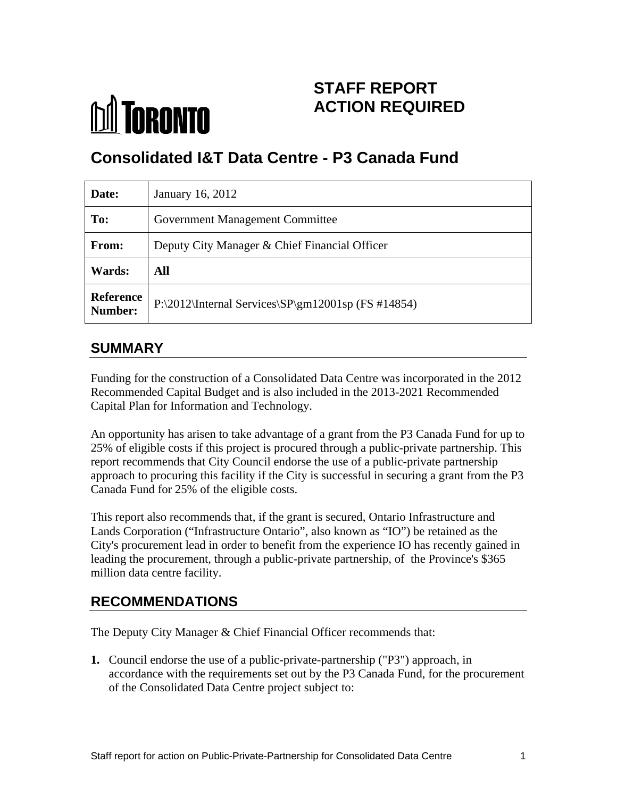

# **STAFF REPORT ACTION REQUIRED**

# **Consolidated I&T Data Centre - P3 Canada Fund**

| Date:  | January 16, 2012                                                        |
|--------|-------------------------------------------------------------------------|
| To:    | Government Management Committee                                         |
| From:  | Deputy City Manager & Chief Financial Officer                           |
| Wards: | <b>All</b>                                                              |
|        | Reference<br>Number: P:\2012\Internal Services\SP\gm12001sp (FS #14854) |

# **SUMMARY**

Funding for the construction of a Consolidated Data Centre was incorporated in the 2012 Recommended Capital Budget and is also included in the 2013-2021 Recommended Capital Plan for Information and Technology.

An opportunity has arisen to take advantage of a grant from the P3 Canada Fund for up to 25% of eligible costs if this project is procured through a public-private partnership. This report recommends that City Council endorse the use of a public-private partnership approach to procuring this facility if the City is successful in securing a grant from the P3 Canada Fund for 25% of the eligible costs.

This report also recommends that, if the grant is secured, Ontario Infrastructure and Lands Corporation ("Infrastructure Ontario", also known as "IO") be retained as the City's procurement lead in order to benefit from the experience IO has recently gained in leading the procurement, through a public-private partnership, of the Province's \$365 million data centre facility.

# **RECOMMENDATIONS**

The Deputy City Manager & Chief Financial Officer recommends that:

**1.** Council endorse the use of a public-private-partnership ("P3") approach, in accordance with the requirements set out by the P3 Canada Fund, for the procurement of the Consolidated Data Centre project subject to: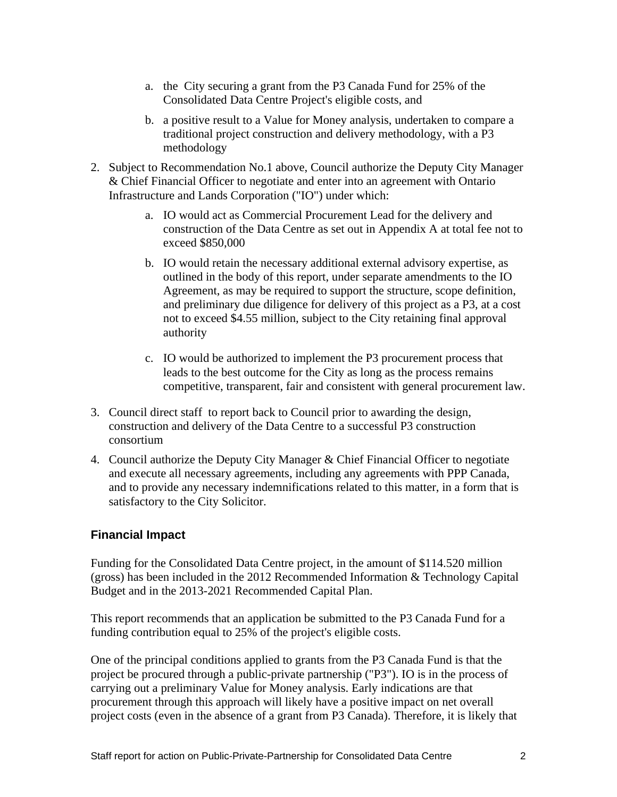- a. the City securing a grant from the P3 Canada Fund for 25% of the Consolidated Data Centre Project's eligible costs, and
- b. a positive result to a Value for Money analysis, undertaken to compare a traditional project construction and delivery methodology, with a P3 methodology
- 2. Subject to Recommendation No.1 above, Council authorize the Deputy City Manager & Chief Financial Officer to negotiate and enter into an agreement with Ontario Infrastructure and Lands Corporation ("IO") under which:
	- a. IO would act as Commercial Procurement Lead for the delivery and construction of the Data Centre as set out in Appendix A at total fee not to exceed \$850,000
	- b. IO would retain the necessary additional external advisory expertise, as outlined in the body of this report, under separate amendments to the IO Agreement, as may be required to support the structure, scope definition, and preliminary due diligence for delivery of this project as a P3, at a cost not to exceed \$4.55 million, subject to the City retaining final approval authority
	- c. IO would be authorized to implement the P3 procurement process that leads to the best outcome for the City as long as the process remains competitive, transparent, fair and consistent with general procurement law.
- 3. Council direct staff to report back to Council prior to awarding the design, construction and delivery of the Data Centre to a successful P3 construction consortium
- 4. Council authorize the Deputy City Manager & Chief Financial Officer to negotiate and execute all necessary agreements, including any agreements with PPP Canada, and to provide any necessary indemnifications related to this matter, in a form that is satisfactory to the City Solicitor.

## **Financial Impact**

Funding for the Consolidated Data Centre project, in the amount of \$114.520 million (gross) has been included in the 2012 Recommended Information & Technology Capital Budget and in the 2013-2021 Recommended Capital Plan.

This report recommends that an application be submitted to the P3 Canada Fund for a funding contribution equal to 25% of the project's eligible costs.

One of the principal conditions applied to grants from the P3 Canada Fund is that the project be procured through a public-private partnership ("P3"). IO is in the process of carrying out a preliminary Value for Money analysis. Early indications are that procurement through this approach will likely have a positive impact on net overall project costs (even in the absence of a grant from P3 Canada). Therefore, it is likely that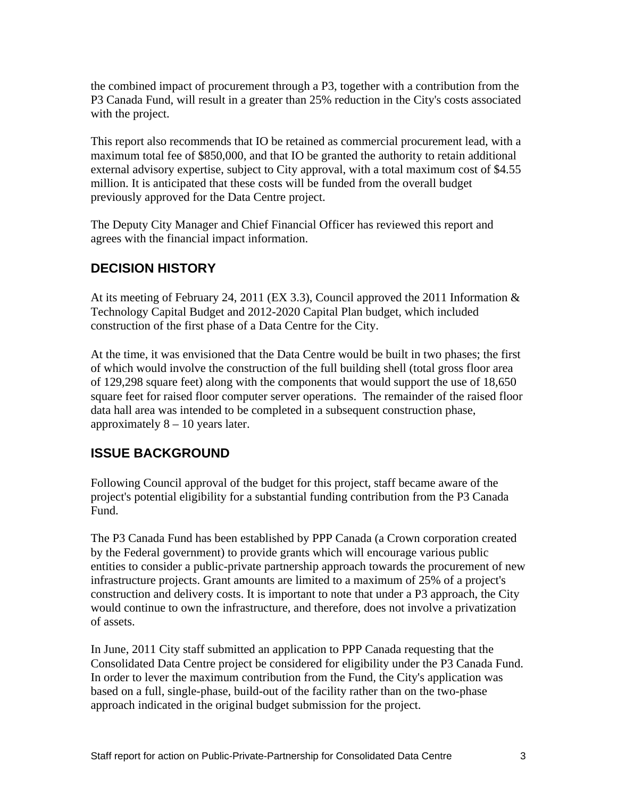the combined impact of procurement through a P3, together with a contribution from the P3 Canada Fund, will result in a greater than 25% reduction in the City's costs associated with the project.

This report also recommends that IO be retained as commercial procurement lead, with a maximum total fee of \$850,000, and that IO be granted the authority to retain additional external advisory expertise, subject to City approval, with a total maximum cost of \$4.55 million. It is anticipated that these costs will be funded from the overall budget previously approved for the Data Centre project.

The Deputy City Manager and Chief Financial Officer has reviewed this report and agrees with the financial impact information.

# **DECISION HISTORY**

At its meeting of February 24, 2011 (EX 3.3), Council approved the 2011 Information & Technology Capital Budget and 2012-2020 Capital Plan budget, which included construction of the first phase of a Data Centre for the City.

At the time, it was envisioned that the Data Centre would be built in two phases; the first of which would involve the construction of the full building shell (total gross floor area of 129,298 square feet) along with the components that would support the use of 18,650 square feet for raised floor computer server operations. The remainder of the raised floor data hall area was intended to be completed in a subsequent construction phase, approximately 8 – 10 years later.

# **ISSUE BACKGROUND**

Following Council approval of the budget for this project, staff became aware of the project's potential eligibility for a substantial funding contribution from the P3 Canada Fund.

The P3 Canada Fund has been established by PPP Canada (a Crown corporation created by the Federal government) to provide grants which will encourage various public entities to consider a public-private partnership approach towards the procurement of new infrastructure projects. Grant amounts are limited to a maximum of 25% of a project's construction and delivery costs. It is important to note that under a P3 approach, the City would continue to own the infrastructure, and therefore, does not involve a privatization of assets.

In June, 2011 City staff submitted an application to PPP Canada requesting that the Consolidated Data Centre project be considered for eligibility under the P3 Canada Fund. In order to lever the maximum contribution from the Fund, the City's application was based on a full, single-phase, build-out of the facility rather than on the two-phase approach indicated in the original budget submission for the project.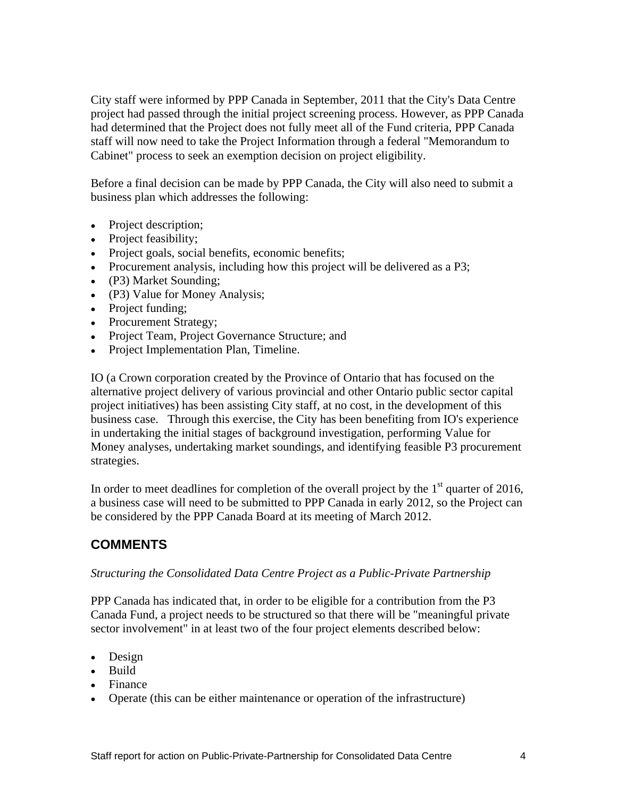City staff were informed by PPP Canada in September, 2011 that the City's Data Centre project had passed through the initial project screening process. However, as PPP Canada had determined that the Project does not fully meet all of the Fund criteria, PPP Canada staff will now need to take the Project Information through a federal "Memorandum to Cabinet" process to seek an exemption decision on project eligibility.

Before a final decision can be made by PPP Canada, the City will also need to submit a business plan which addresses the following:

- Project description;
- Project feasibility;
- Project goals, social benefits, economic benefits;
- Procurement analysis, including how this project will be delivered as a P3;
- (P3) Market Sounding;
- (P3) Value for Money Analysis;
- Project funding;
- Procurement Strategy;
- Project Team, Project Governance Structure; and
- Project Implementation Plan, Timeline.

IO (a Crown corporation created by the Province of Ontario that has focused on the alternative project delivery of various provincial and other Ontario public sector capital project initiatives) has been assisting City staff, at no cost, in the development of this business case. Through this exercise, the City has been benefiting from IO's experience in undertaking the initial stages of background investigation, performing Value for Money analyses, undertaking market soundings, and identifying feasible P3 procurement strategies.

In order to meet deadlines for completion of the overall project by the  $1<sup>st</sup>$  quarter of 2016, a business case will need to be submitted to PPP Canada in early 2012, so the Project can be considered by the PPP Canada Board at its meeting of March 2012.

# **COMMENTS**

#### *Structuring the Consolidated Data Centre Project as a Public-Private Partnership*

PPP Canada has indicated that, in order to be eligible for a contribution from the P3 Canada Fund, a project needs to be structured so that there will be "meaningful private sector involvement" in at least two of the four project elements described below:

- Design
- Build
- Finance **Finance Finance Finance Finance Finance Finance Finance Finance**
- Operate (this can be either maintenance or operation of the infrastructure)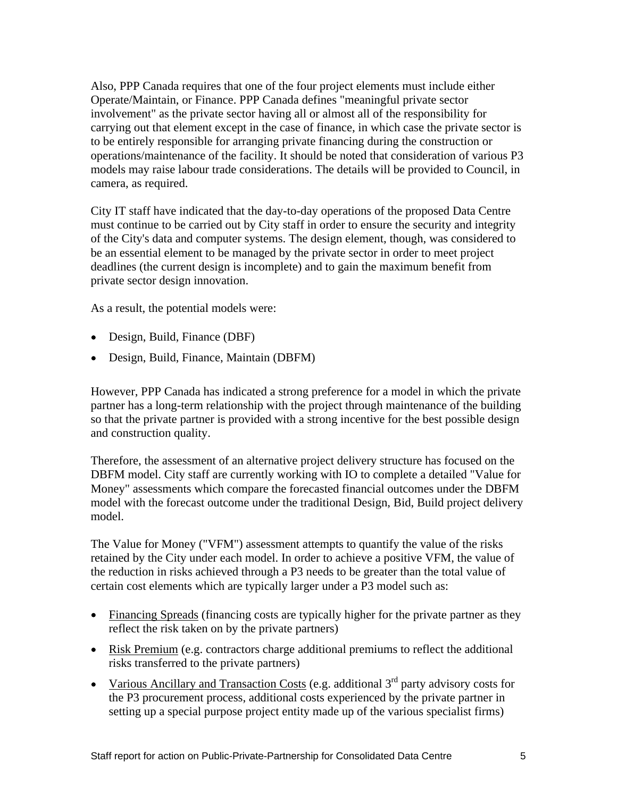Also, PPP Canada requires that one of the four project elements must include either Operate/Maintain, or Finance. PPP Canada defines "meaningful private sector involvement" as the private sector having all or almost all of the responsibility for carrying out that element except in the case of finance, in which case the private sector is to be entirely responsible for arranging private financing during the construction or operations/maintenance of the facility. It should be noted that consideration of various P3 models may raise labour trade considerations. The details will be provided to Council, in camera, as required.

City IT staff have indicated that the day-to-day operations of the proposed Data Centre must continue to be carried out by City staff in order to ensure the security and integrity of the City's data and computer systems. The design element, though, was considered to be an essential element to be managed by the private sector in order to meet project deadlines (the current design is incomplete) and to gain the maximum benefit from private sector design innovation.

As a result, the potential models were:

- Design, Build, Finance (DBF)
- Design, Build, Finance, Maintain (DBFM)

However, PPP Canada has indicated a strong preference for a model in which the private partner has a long-term relationship with the project through maintenance of the building so that the private partner is provided with a strong incentive for the best possible design and construction quality.

Therefore, the assessment of an alternative project delivery structure has focused on the DBFM model. City staff are currently working with IO to complete a detailed "Value for Money" assessments which compare the forecasted financial outcomes under the DBFM model with the forecast outcome under the traditional Design, Bid, Build project delivery model.

The Value for Money ("VFM") assessment attempts to quantify the value of the risks retained by the City under each model. In order to achieve a positive VFM, the value of the reduction in risks achieved through a P3 needs to be greater than the total value of certain cost elements which are typically larger under a P3 model such as:

- Financing Spreads (financing costs are typically higher for the private partner as they reflect the risk taken on by the private partners)
- Risk Premium (e.g. contractors charge additional premiums to reflect the additional risks transferred to the private partners)
- Various Ancillary and Transaction Costs (e.g. additional  $3<sup>rd</sup>$  party advisory costs for the P3 procurement process, additional costs experienced by the private partner in setting up a special purpose project entity made up of the various specialist firms)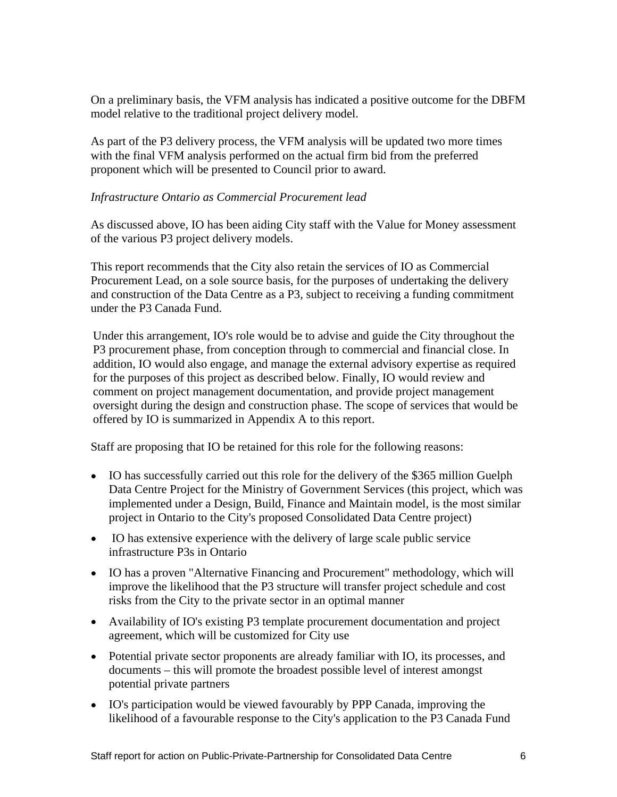On a preliminary basis, the VFM analysis has indicated a positive outcome for the DBFM model relative to the traditional project delivery model.

As part of the P3 delivery process, the VFM analysis will be updated two more times with the final VFM analysis performed on the actual firm bid from the preferred proponent which will be presented to Council prior to award.

#### *Infrastructure Ontario as Commercial Procurement lead*

As discussed above, IO has been aiding City staff with the Value for Money assessment of the various P3 project delivery models.

This report recommends that the City also retain the services of IO as Commercial Procurement Lead, on a sole source basis, for the purposes of undertaking the delivery and construction of the Data Centre as a P3, subject to receiving a funding commitment

under the P3 Canada Fund.<br>Under this arrangement, IO's role would be to advise and guide the City throughout the P3 procurement phase, from conception through to commercial and financial close. In addition, IO would also engage, and manage the external advisory expertise as required for the purposes of this project as described below. Finally, IO would review and comment on project management documentation, and provide project management oversight during the design and construction phase. The scope of services that would be offered by IO is summarized in Appendix A to this report.

Staff are proposing that IO be retained for this role for the following reasons:

- IO has successfully carried out this role for the delivery of the \$365 million Guelph Data Centre Project for the Ministry of Government Services (this project, which was implemented under a Design, Build, Finance and Maintain model, is the most similar project in Ontario to the City's proposed Consolidated Data Centre project)
- IO has extensive experience with the delivery of large scale public service infrastructure P3s in Ontario
- IO has a proven "Alternative Financing and Procurement" methodology, which will improve the likelihood that the P3 structure will transfer project schedule and cost risks from the City to the private sector in an optimal manner
- Availability of IO's existing P3 template procurement documentation and project agreement, which will be customized for City use
- Potential private sector proponents are already familiar with IO, its processes, and documents – this will promote the broadest possible level of interest amongst potential private partners
- IO's participation would be viewed favourably by PPP Canada, improving the likelihood of a favourable response to the City's application to the P3 Canada Fund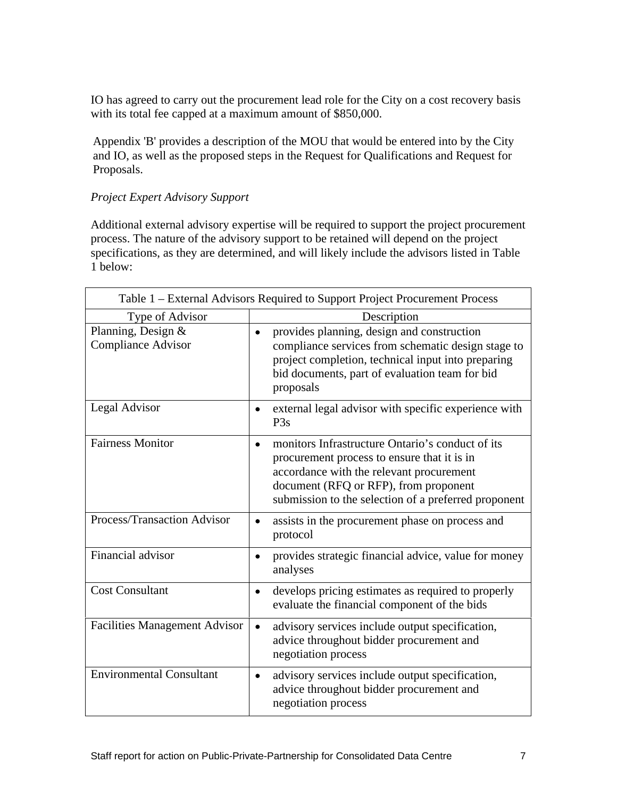IO has agreed to carry out the procurement lead role for the City on a cost recovery basis with its total fee capped at a maximum amount of \$850,000.

Appendix 'B' provides a description of the MOU that would be entered into by the City and IO, as well as the proposed steps in the Request for Qualifications and Request for Proposals.

#### *Project Expert Advisory Support*

Additional external advisory expertise will be required to support the project procurement process. The nature of the advisory support to be retained will depend on the project specifications, as they are determined, and will likely include the advisors listed in Table 1 below:

| Table 1 - External Advisors Required to Support Project Procurement Process |                                                                                                                                                                                                                                              |
|-----------------------------------------------------------------------------|----------------------------------------------------------------------------------------------------------------------------------------------------------------------------------------------------------------------------------------------|
| Type of Advisor                                                             | Description                                                                                                                                                                                                                                  |
| Planning, Design &<br>Compliance Advisor                                    | provides planning, design and construction<br>compliance services from schematic design stage to<br>project completion, technical input into preparing<br>bid documents, part of evaluation team for bid<br>proposals                        |
| Legal Advisor                                                               | external legal advisor with specific experience with<br>P <sub>3s</sub>                                                                                                                                                                      |
| <b>Fairness Monitor</b>                                                     | monitors Infrastructure Ontario's conduct of its<br>procurement process to ensure that it is in<br>accordance with the relevant procurement<br>document (RFQ or RFP), from proponent<br>submission to the selection of a preferred proponent |
| Process/Transaction Advisor                                                 | assists in the procurement phase on process and<br>protocol                                                                                                                                                                                  |
| Financial advisor                                                           | provides strategic financial advice, value for money<br>analyses                                                                                                                                                                             |
| <b>Cost Consultant</b>                                                      | develops pricing estimates as required to properly<br>evaluate the financial component of the bids                                                                                                                                           |
| Facilities Management Advisor                                               | advisory services include output specification,<br>advice throughout bidder procurement and<br>negotiation process                                                                                                                           |
| <b>Environmental Consultant</b>                                             | advisory services include output specification,<br>advice throughout bidder procurement and<br>negotiation process                                                                                                                           |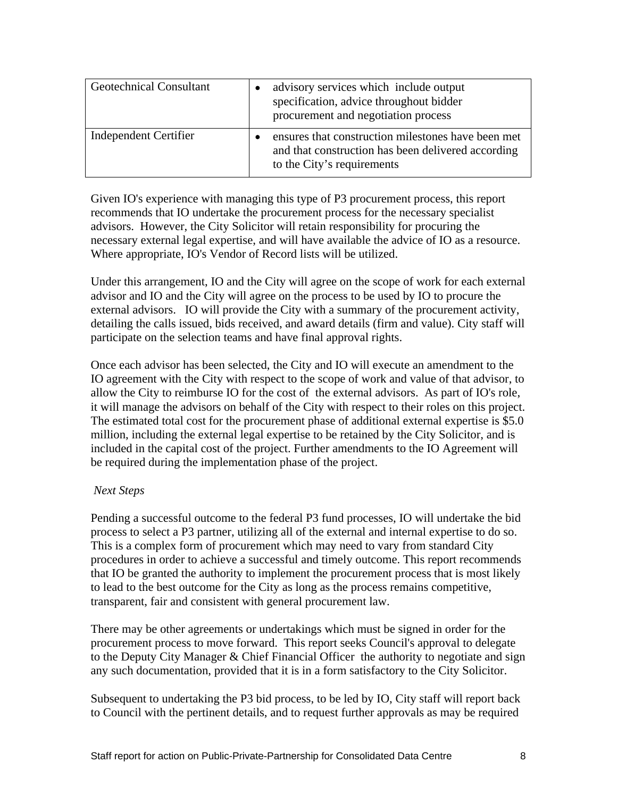Given IO's experience with managing this type of P3 procurement process, this report recommends that IO undertake the procurement process for the necessary specialist advisors. However, the City Solicitor will retain responsibility for procuring the necessary external legal expertise, and will have available the advice of IO as a resource. Where appropriate, IO's Vendor of Record lists will be utilized.

Under this arrangement, IO and the City will agree on the scope of work for each external advisor and IO and the City will agree on the process to be used by IO to procure the external advisors. IO will provide the City with a summary of the procurement activity, detailing the calls issued, bids received, and award details (firm and value). City staff will participate on the selection teams and have final approval rights.

Once each advisor has been selected, the City and IO will execute an amendment to the IO agreement with the City with respect to the scope of work and value of that advisor, to allow the City to reimburse IO for the cost of the external advisors. As part of IO's role, it will manage the advisors on behalf of the City with respect to their roles on this project. The estimated total cost for the procurement phase of additional external expertise is \$5.0 million, including the external legal expertise to be retained by the City Solicitor, and is included in the capital cost of the project. Further amendments to the IO Agreement will be required during the implementation phase of the project.

#### *Next Steps*

Pending a successful outcome to the federal P3 fund processes, IO will undertake the bid process to select a P3 partner, utilizing all of the external and internal expertise to do so. This is a complex form of procurement which may need to vary from standard City procedures in order to achieve a successful and timely outcome. This report recommends that IO be granted the authority to implement the procurement process that is most likely to lead to the best outcome for the City as long as the process remains competitive, transparent, fair and consistent with general procurement law.

There may be other agreements or undertakings which must be signed in order for the procurement process to move forward. This report seeks Council's approval to delegate to the Deputy City Manager & Chief Financial Officer the authority to negotiate and sign any such documentation, provided that it is in a form satisfactory to the City Solicitor.

Subsequent to undertaking the P3 bid process, to be led by IO, City staff will report back to Council with the pertinent details, and to request further approvals as may be required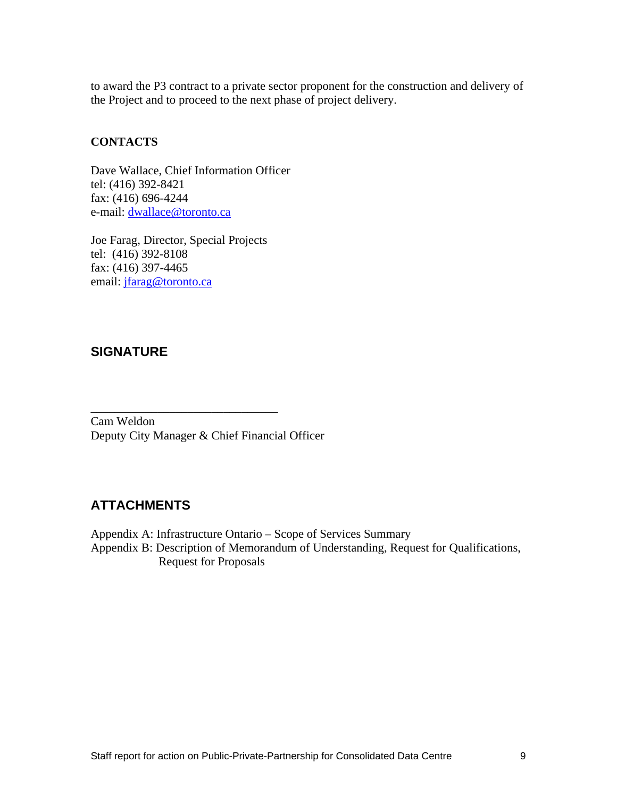to award the P3 contract to a private sector proponent for the construction and delivery of the Project and to proceed to the next phase of project delivery.

#### **CONTACTS**

Dave Wallace, Chief Information Officer tel: (416) 392-8421 fax: (416) 696-4244 e-mail: dwallace@toronto.ca

Joe Farag, Director, Special Projects tel: (416) 392-8108 fax: (416) 397-4465 email: jfarag@toronto.ca

## **SIGNATURE**

Cam Weldon Deputy City Manager & Chief Financial Officer

# **ATTACHMENTS**

Appendix A: Infrastructure Ontario – Scope of Services Summary Appendix B: Description of Memorandum of Understanding, Request for Qualifications, Request for Proposals

 $\overline{\phantom{a}}$  , we can assume that the contract of  $\overline{\phantom{a}}$  , we can assume that the contract of  $\overline{\phantom{a}}$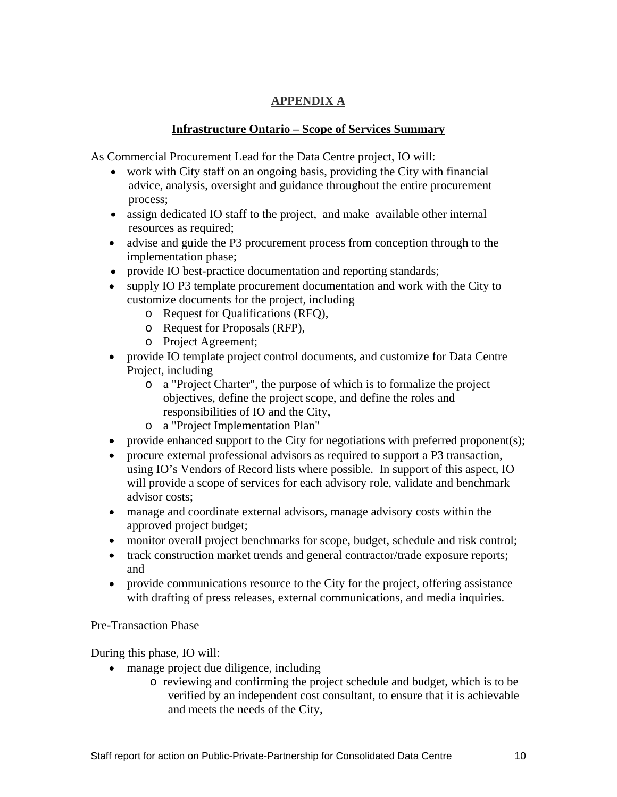## **APPENDIX A**

## **Infrastructure Ontario – Scope of Services Summary**

As Commercial Procurement Lead for the Data Centre project, IO will:

- work with City staff on an ongoing basis, providing the City with financial advice, analysis, oversight and guidance throughout the entire procurement process;
- assign dedicated IO staff to the project, and make available other internal resources as required;
- advise and guide the P3 procurement process from conception through to the implementation phase;
- provide IO best-practice documentation and reporting standards;
- supply IO P3 template procurement documentation and work with the City to customize documents for the project, including
	- o Request for Qualifications (RFQ),
	- o Request for Proposals (RFP),
	- o Project Agreement;
- provide IO template project control documents, and customize for Data Centre Project, including
	- o a "Project Charter", the purpose of which is to formalize the project objectives, define the project scope, and define the roles and responsibilities of IO and the City,
	- o a "Project Implementation Plan"
- provide enhanced support to the City for negotiations with preferred proponent(s);
- procure external professional advisors as required to support a P3 transaction, using IO's Vendors of Record lists where possible. In support of this aspect, IO will provide a scope of services for each advisory role, validate and benchmark advisor costs;
- manage and coordinate external advisors, manage advisory costs within the approved project budget;
- monitor overall project benchmarks for scope, budget, schedule and risk control;
- track construction market trends and general contractor/trade exposure reports; and
- provide communications resource to the City for the project, offering assistance with drafting of press releases, external communications, and media inquiries.

#### Pre-Transaction Phase

During this phase, IO will:

- manage project due diligence, including
	- o reviewing and confirming the project schedule and budget, which is to be verified by an independent cost consultant, to ensure that it is achievable and meets the needs of the City,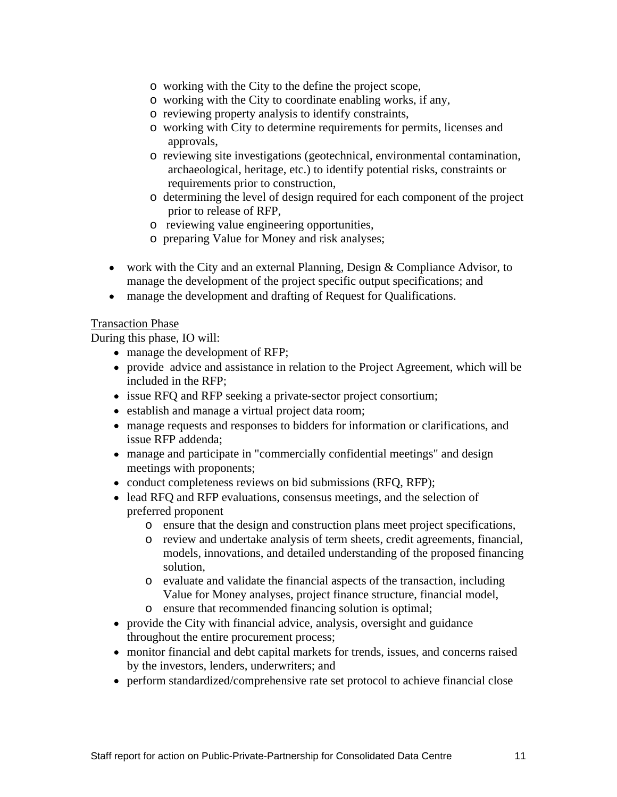- o working with the City to the define the project scope,
- o working with the City to coordinate enabling works, if any,
- o reviewing property analysis to identify constraints,
- o working with City to determine requirements for permits, licenses and approvals,
- o reviewing site investigations (geotechnical, environmental contamination, archaeological, heritage, etc.) to identify potential risks, constraints or requirements prior to construction,
- o determining the level of design required for each component of the project prior to release of RFP,
- o reviewing value engineering opportunities,
- o preparing Value for Money and risk analyses;
- work with the City and an external Planning, Design & Compliance Advisor, to manage the development of the project specific output specifications; and
- manage the development and drafting of Request for Qualifications.

#### **Transaction Phase**

During this phase, IO will:

- manage the development of RFP;
- provide advice and assistance in relation to the Project Agreement, which will be included in the RFP;
- issue RFQ and RFP seeking a private-sector project consortium;
- establish and manage a virtual project data room;
- manage requests and responses to bidders for information or clarifications, and issue RFP addenda;
- manage and participate in "commercially confidential meetings" and design meetings with proponents;
- conduct completeness reviews on bid submissions (RFQ, RFP);
- lead RFQ and RFP evaluations, consensus meetings, and the selection of preferred proponent
	- o ensure that the design and construction plans meet project specifications,
	- o review and undertake analysis of term sheets, credit agreements, financial, models, innovations, and detailed understanding of the proposed financing solution,
	- o evaluate and validate the financial aspects of the transaction, including Value for Money analyses, project finance structure, financial model,
	- o ensure that recommended financing solution is optimal;
- provide the City with financial advice, analysis, oversight and guidance throughout the entire procurement process;
- monitor financial and debt capital markets for trends, issues, and concerns raised by the investors, lenders, underwriters; and
- perform standardized/comprehensive rate set protocol to achieve financial close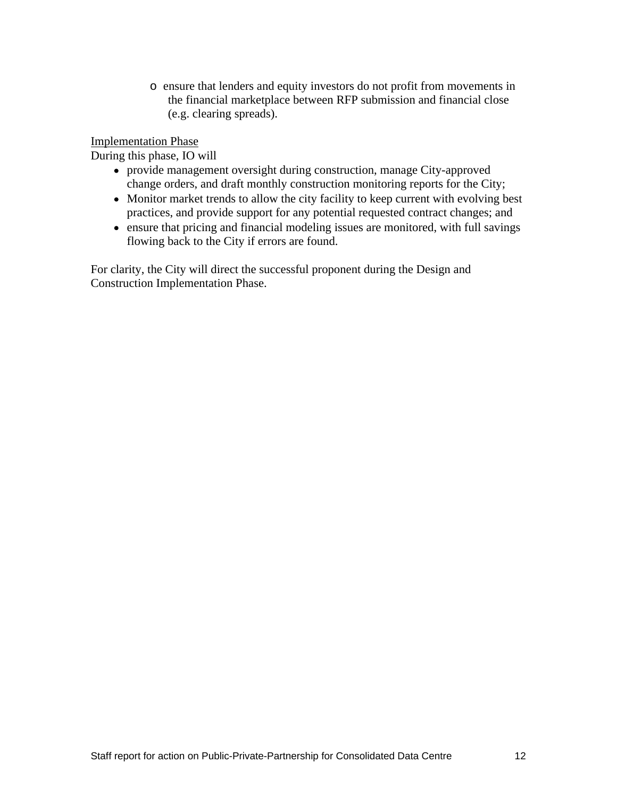o ensure that lenders and equity investors do not profit from movements in the financial marketplace between RFP submission and financial close (e.g. clearing spreads).

Implementation Phase

During this phase, IO will

- provide management oversight during construction, manage City-approved change orders, and draft monthly construction monitoring reports for the City;
- Monitor market trends to allow the city facility to keep current with evolving best practices, and provide support for any potential requested contract changes; and
- ensure that pricing and financial modeling issues are monitored, with full savings flowing back to the City if errors are found.

For clarity, the City will direct the successful proponent during the Design and Construction Implementation Phase.